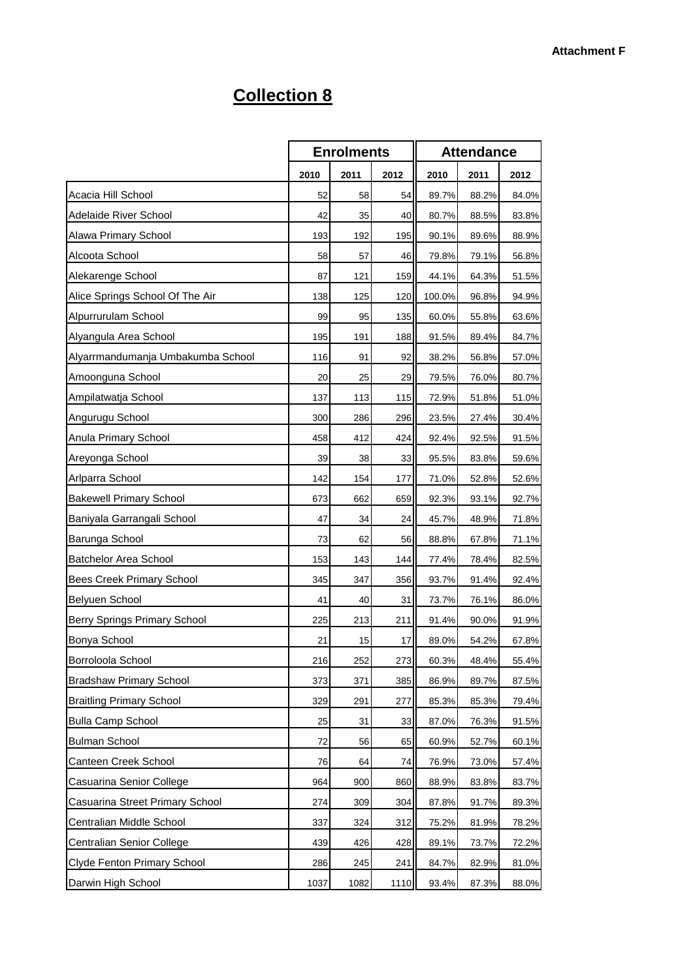## **Collection 8**

|                                   | <b>Enrolments</b> |      | <b>Attendance</b> |        |       |       |
|-----------------------------------|-------------------|------|-------------------|--------|-------|-------|
|                                   | 2010              | 2011 | 2012              | 2010   | 2011  | 2012  |
| Acacia Hill School                | 52                | 58   | 54                | 89.7%  | 88.2% | 84.0% |
| Adelaide River School             | 42                | 35   | 40                | 80.7%  | 88.5% | 83.8% |
| Alawa Primary School              | 193               | 192  | 195               | 90.1%  | 89.6% | 88.9% |
| Alcoota School                    | 58                | 57   | 46                | 79.8%  | 79.1% | 56.8% |
| Alekarenge School                 | 87                | 121  | 159               | 44.1%  | 64.3% | 51.5% |
| Alice Springs School Of The Air   | 138               | 125  | 120               | 100.0% | 96.8% | 94.9% |
| Alpurrurulam School               | 99                | 95   | 135               | 60.0%  | 55.8% | 63.6% |
| Alyangula Area School             | 195               | 191  | 188               | 91.5%  | 89.4% | 84.7% |
| Alyarrmandumanja Umbakumba School | 116               | 91   | 92                | 38.2%  | 56.8% | 57.0% |
| Amoonguna School                  | 20                | 25   | 29                | 79.5%  | 76.0% | 80.7% |
| Ampilatwatja School               | 137               | 113  | 115               | 72.9%  | 51.8% | 51.0% |
| Angurugu School                   | 300               | 286  | 296               | 23.5%  | 27.4% | 30.4% |
| Anula Primary School              | 458               | 412  | 424               | 92.4%  | 92.5% | 91.5% |
| Areyonga School                   | 39                | 38   | 33                | 95.5%  | 83.8% | 59.6% |
| Arlparra School                   | 142               | 154  | 177               | 71.0%  | 52.8% | 52.6% |
| <b>Bakewell Primary School</b>    | 673               | 662  | 659               | 92.3%  | 93.1% | 92.7% |
| Baniyala Garrangali School        | 47                | 34   | 24                | 45.7%  | 48.9% | 71.8% |
| Barunga School                    | 73                | 62   | 56                | 88.8%  | 67.8% | 71.1% |
| <b>Batchelor Area School</b>      | 153               | 143  | 144               | 77.4%  | 78.4% | 82.5% |
| Bees Creek Primary School         | 345               | 347  | 356               | 93.7%  | 91.4% | 92.4% |
| <b>Belyuen School</b>             | 41                | 40   | 31                | 73.7%  | 76.1% | 86.0% |
| Berry Springs Primary School      | 225               | 213  | 211               | 91.4%  | 90.0% | 91.9% |
| Bonya School                      | 21                | 15   | 17                | 89.0%  | 54.2% | 67.8% |
| Borroloola School                 | 216               | 252  | 273               | 60.3%  | 48.4% | 55.4% |
| <b>Bradshaw Primary School</b>    | 373               | 371  | 385               | 86.9%  | 89.7% | 87.5% |
| <b>Braitling Primary School</b>   | 329               | 291  | 277               | 85.3%  | 85.3% | 79.4% |
| <b>Bulla Camp School</b>          | 25                | 31   | 33                | 87.0%  | 76.3% | 91.5% |
| <b>Bulman School</b>              | 72                | 56   | 65                | 60.9%  | 52.7% | 60.1% |
| Canteen Creek School              | 76                | 64   | 74                | 76.9%  | 73.0% | 57.4% |
| Casuarina Senior College          | 964               | 900  | 860               | 88.9%  | 83.8% | 83.7% |
| Casuarina Street Primary School   | 274               | 309  | 304               | 87.8%  | 91.7% | 89.3% |
| Centralian Middle School          | 337               | 324  | 312               | 75.2%  | 81.9% | 78.2% |
| Centralian Senior College         | 439               | 426  | 428               | 89.1%  | 73.7% | 72.2% |
| Clyde Fenton Primary School       | 286               | 245  | 241               | 84.7%  | 82.9% | 81.0% |
| Darwin High School                | 1037              | 1082 | 1110              | 93.4%  | 87.3% | 88.0% |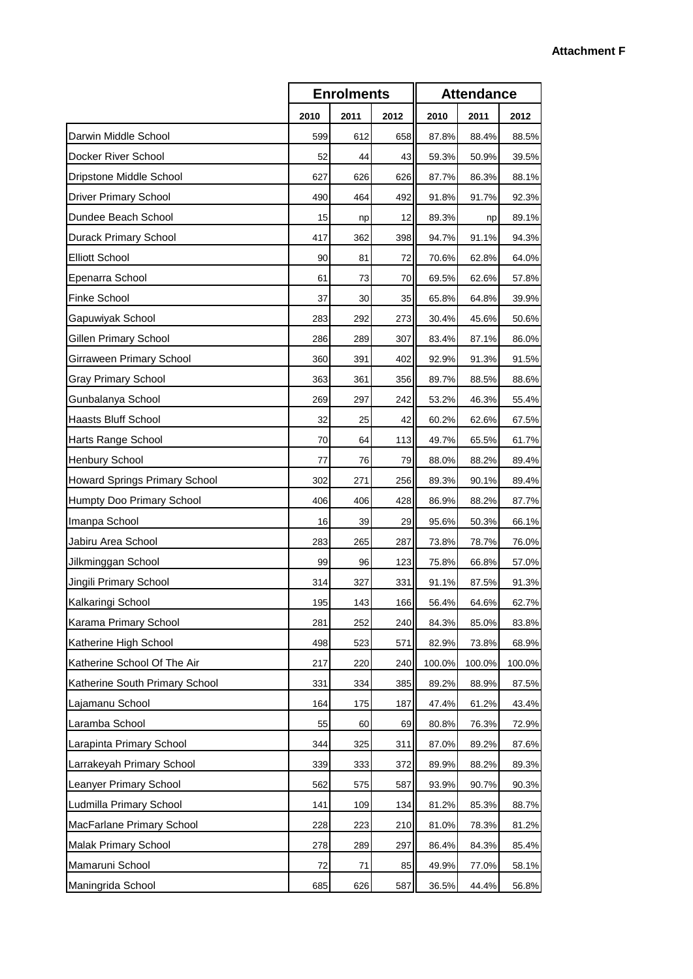|                                |      | <b>Enrolments</b> |                   |        | <b>Attendance</b> |        |  |  |
|--------------------------------|------|-------------------|-------------------|--------|-------------------|--------|--|--|
|                                | 2010 | 2011              | 2012              | 2010   | 2011              | 2012   |  |  |
| Darwin Middle School           | 599  | 612               | 658               | 87.8%  | 88.4%             | 88.5%  |  |  |
| Docker River School            | 52   | 44                | 43                | 59.3%  | 50.9%             | 39.5%  |  |  |
| Dripstone Middle School        | 627  | 626               | 626               | 87.7%  | 86.3%             | 88.1%  |  |  |
| <b>Driver Primary School</b>   | 490  | 464               | 492               | 91.8%  | 91.7%             | 92.3%  |  |  |
| Dundee Beach School            | 15   | np                | 12                | 89.3%  | np                | 89.1%  |  |  |
| Durack Primary School          | 417  | 362               | 398               | 94.7%  | 91.1%             | 94.3%  |  |  |
| <b>Elliott School</b>          | 90   | 81                | 72                | 70.6%  | 62.8%             | 64.0%  |  |  |
| Epenarra School                | 61   | 73                | 70                | 69.5%  | 62.6%             | 57.8%  |  |  |
| <b>Finke School</b>            | 37   | 30                | 35                | 65.8%  | 64.8%             | 39.9%  |  |  |
| Gapuwiyak School               | 283  | 292               | 273               | 30.4%  | 45.6%             | 50.6%  |  |  |
| <b>Gillen Primary School</b>   | 286  | 289               | 307               | 83.4%  | 87.1%             | 86.0%  |  |  |
| Girraween Primary School       | 360  | 391               | 402               | 92.9%  | 91.3%             | 91.5%  |  |  |
| <b>Gray Primary School</b>     | 363  | 361               | 356               | 89.7%  | 88.5%             | 88.6%  |  |  |
| Gunbalanya School              | 269  | 297               | 242               | 53.2%  | 46.3%             | 55.4%  |  |  |
| Haasts Bluff School            | 32   | 25                | 42                | 60.2%  | 62.6%             | 67.5%  |  |  |
| Harts Range School             | 70   | 64                | 113               | 49.7%  | 65.5%             | 61.7%  |  |  |
| Henbury School                 | 77   | 76                | 79                | 88.0%  | 88.2%             | 89.4%  |  |  |
| Howard Springs Primary School  | 302  | 271               | 256               | 89.3%  | 90.1%             | 89.4%  |  |  |
| Humpty Doo Primary School      | 406  | 406               | 428               | 86.9%  | 88.2%             | 87.7%  |  |  |
| Imanpa School                  | 16   | 39                | 29                | 95.6%  | 50.3%             | 66.1%  |  |  |
| Jabiru Area School             | 283  | 265               | 287               | 73.8%  | 78.7%             | 76.0%  |  |  |
| Jilkminggan School             | 99   | 96                | 123               | 75.8%  | 66.8%             | 57.0%  |  |  |
| Jingili Primary School         | 314  | 327               | 331               | 91.1%  | 87.5%             | 91.3%  |  |  |
| Kalkaringi School              | 195  | 143               | 166 <sub>II</sub> | 56.4%  | 64.6%             | 62.7%  |  |  |
| Karama Primary School          | 281  | 252               | 240               | 84.3%  | 85.0%             | 83.8%  |  |  |
| Katherine High School          | 498  | 523               | 571               | 82.9%  | 73.8%             | 68.9%  |  |  |
| Katherine School Of The Air    | 217  | 220               | 240               | 100.0% | 100.0%            | 100.0% |  |  |
| Katherine South Primary School | 331  | 334               | 385               | 89.2%  | 88.9%             | 87.5%  |  |  |
| Lajamanu School                | 164  | 175               | 187               | 47.4%  | 61.2%             | 43.4%  |  |  |
| Laramba School                 | 55   | 60                | 69                | 80.8%  | 76.3%             | 72.9%  |  |  |
| Larapinta Primary School       | 344  | 325               | 311               | 87.0%  | 89.2%             | 87.6%  |  |  |
| Larrakeyah Primary School      | 339  | 333               | 372               | 89.9%  | 88.2%             | 89.3%  |  |  |
| Leanyer Primary School         | 562  | 575               | 587               | 93.9%  | 90.7%             | 90.3%  |  |  |
| Ludmilla Primary School        | 141  | 109               | 134               | 81.2%  | 85.3%             | 88.7%  |  |  |
| MacFarlane Primary School      | 228  | 223               | 210               | 81.0%  | 78.3%             | 81.2%  |  |  |
| Malak Primary School           | 278  | 289               | 297               | 86.4%  | 84.3%             | 85.4%  |  |  |
| Mamaruni School                | 72   | 71                | 85                | 49.9%  | 77.0%             | 58.1%  |  |  |
| Maningrida School              | 685  | 626               | 587               | 36.5%  | 44.4%             | 56.8%  |  |  |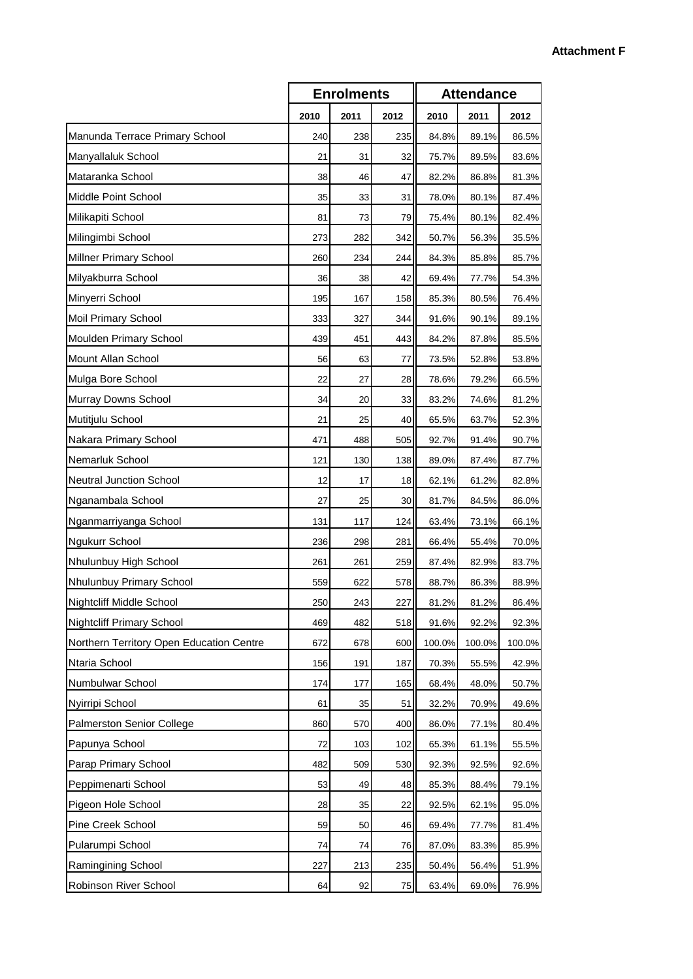|                                          | <b>Enrolments</b> |      |      | <b>Attendance</b> |        |        |
|------------------------------------------|-------------------|------|------|-------------------|--------|--------|
|                                          | 2010              | 2011 | 2012 | 2010              | 2011   | 2012   |
| Manunda Terrace Primary School           | 240               | 238  | 235  | 84.8%             | 89.1%  | 86.5%  |
| Manyallaluk School                       | 21                | 31   | 32   | 75.7%             | 89.5%  | 83.6%  |
| Mataranka School                         | 38                | 46   | 47   | 82.2%             | 86.8%  | 81.3%  |
| Middle Point School                      | 35                | 33   | 31   | 78.0%             | 80.1%  | 87.4%  |
| Milikapiti School                        | 81                | 73   | 79   | 75.4%             | 80.1%  | 82.4%  |
| Milingimbi School                        | 273               | 282  | 342  | 50.7%             | 56.3%  | 35.5%  |
| Millner Primary School                   | 260               | 234  | 244  | 84.3%             | 85.8%  | 85.7%  |
| Milyakburra School                       | 36                | 38   | 42   | 69.4%             | 77.7%  | 54.3%  |
| Minyerri School                          | 195               | 167  | 158  | 85.3%             | 80.5%  | 76.4%  |
| Moil Primary School                      | 333               | 327  | 344  | 91.6%             | 90.1%  | 89.1%  |
| Moulden Primary School                   | 439               | 451  | 443  | 84.2%             | 87.8%  | 85.5%  |
| Mount Allan School                       | 56                | 63   | 77   | 73.5%             | 52.8%  | 53.8%  |
| Mulga Bore School                        | 22                | 27   | 28   | 78.6%             | 79.2%  | 66.5%  |
| Murray Downs School                      | 34                | 20   | 33   | 83.2%             | 74.6%  | 81.2%  |
| Mutitjulu School                         | 21                | 25   | 40   | 65.5%             | 63.7%  | 52.3%  |
| Nakara Primary School                    | 471               | 488  | 505  | 92.7%             | 91.4%  | 90.7%  |
| Nemarluk School                          | 121               | 130  | 138  | 89.0%             | 87.4%  | 87.7%  |
| <b>Neutral Junction School</b>           | 12                | 17   | 18   | 62.1%             | 61.2%  | 82.8%  |
| Nganambala School                        | 27                | 25   | 30   | 81.7%             | 84.5%  | 86.0%  |
| Nganmarriyanga School                    | 131               | 117  | 124  | 63.4%             | 73.1%  | 66.1%  |
| Ngukurr School                           | 236               | 298  | 281  | 66.4%             | 55.4%  | 70.0%  |
| Nhulunbuy High School                    | 261               | 261  | 259  | 87.4%             | 82.9%  | 83.7%  |
| Nhulunbuy Primary School                 | 559               | 622  | 578  | 88.7%             | 86.3%  | 88.9%  |
| <b>Nightcliff Middle School</b>          | 250               | 243  | 227  | 81.2%             | 81.2%  | 86.4%  |
| <b>Nightcliff Primary School</b>         | 469               | 482  | 518  | 91.6%             | 92.2%  | 92.3%  |
| Northern Territory Open Education Centre | 672               | 678  | 600  | 100.0%            | 100.0% | 100.0% |
| Ntaria School                            | 156               | 191  | 187  | 70.3%             | 55.5%  | 42.9%  |
| Numbulwar School                         | 174               | 177  | 165  | 68.4%             | 48.0%  | 50.7%  |
| Nyirripi School                          | 61                | 35   | 51   | 32.2%             | 70.9%  | 49.6%  |
| Palmerston Senior College                | 860               | 570  | 400  | 86.0%             | 77.1%  | 80.4%  |
| Papunya School                           | 72                | 103  | 102  | 65.3%             | 61.1%  | 55.5%  |
| Parap Primary School                     | 482               | 509  | 530  | 92.3%             | 92.5%  | 92.6%  |
| Peppimenarti School                      | 53                | 49   | 48   | 85.3%             | 88.4%  | 79.1%  |
| Pigeon Hole School                       | 28                | 35   | 22   | 92.5%             | 62.1%  | 95.0%  |
| Pine Creek School                        | 59                | 50   | 46   | 69.4%             | 77.7%  | 81.4%  |
| Pularumpi School                         | 74                | 74   | 76   | 87.0%             | 83.3%  | 85.9%  |
| Ramingining School                       | 227               | 213  | 235  | 50.4%             | 56.4%  | 51.9%  |
| Robinson River School                    | 64                | 92   | 75   | 63.4%             | 69.0%  | 76.9%  |